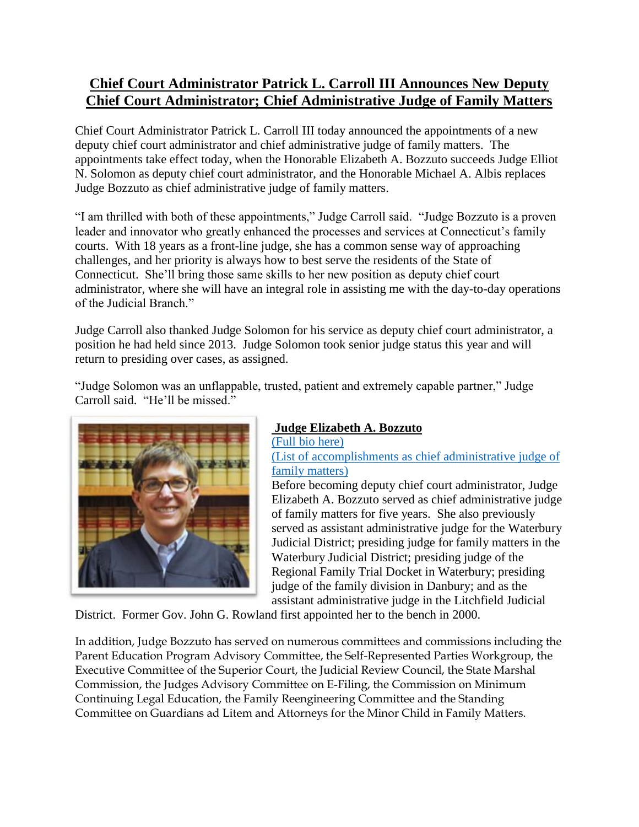## **Chief Court Administrator Patrick L. Carroll III Announces New Deputy Chief Court Administrator; Chief Administrative Judge of Family Matters**

Chief Court Administrator Patrick L. Carroll III today announced the appointments of a new deputy chief court administrator and chief administrative judge of family matters. The appointments take effect today, when the Honorable Elizabeth A. Bozzuto succeeds Judge Elliot N. Solomon as deputy chief court administrator, and the Honorable Michael A. Albis replaces Judge Bozzuto as chief administrative judge of family matters.

"I am thrilled with both of these appointments," Judge Carroll said. "Judge Bozzuto is a proven leader and innovator who greatly enhanced the processes and services at Connecticut's family courts. With 18 years as a front-line judge, she has a common sense way of approaching challenges, and her priority is always how to best serve the residents of the State of Connecticut. She'll bring those same skills to her new position as deputy chief court administrator, where she will have an integral role in assisting me with the day-to-day operations of the Judicial Branch."

Judge Carroll also thanked Judge Solomon for his service as deputy chief court administrator, a position he had held since 2013. Judge Solomon took senior judge status this year and will return to presiding over cases, as assigned.

"Judge Solomon was an unflappable, trusted, patient and extremely capable partner," Judge Carroll said. "He'll be missed."



## **Judge Elizabeth A. Bozzuto** [\(Full bio here\)](https://jud.ct.gov/HomePDFs/Elizabeth_Bozzuto_%20Bio.pdf)

[\(List of accomplishments as chief administrative judge of](https://jud.ct.gov/HomePDFs/Elizabeth_Bozzuto_%20ListofAccomplishments.pdf)  [family matters\)](https://jud.ct.gov/HomePDFs/Elizabeth_Bozzuto_%20ListofAccomplishments.pdf)

Before becoming deputy chief court administrator, Judge Elizabeth A. Bozzuto served as chief administrative judge of family matters for five years. She also previously served as assistant administrative judge for the Waterbury Judicial District; presiding judge for family matters in the Waterbury Judicial District; presiding judge of the Regional Family Trial Docket in Waterbury; presiding judge of the family division in Danbury; and as the assistant administrative judge in the Litchfield Judicial

District. Former Gov. John G. Rowland first appointed her to the bench in 2000.

In addition, Judge Bozzuto has served on numerous committees and commissions including the Parent Education Program Advisory Committee, the Self-Represented Parties Workgroup, the Executive Committee of the Superior Court, the Judicial Review Council, the State Marshal Commission, the Judges Advisory Committee on E-Filing, the Commission on Minimum Continuing Legal Education, the Family Reengineering Committee and the Standing Committee on Guardians ad Litem and Attorneys for the Minor Child in Family Matters.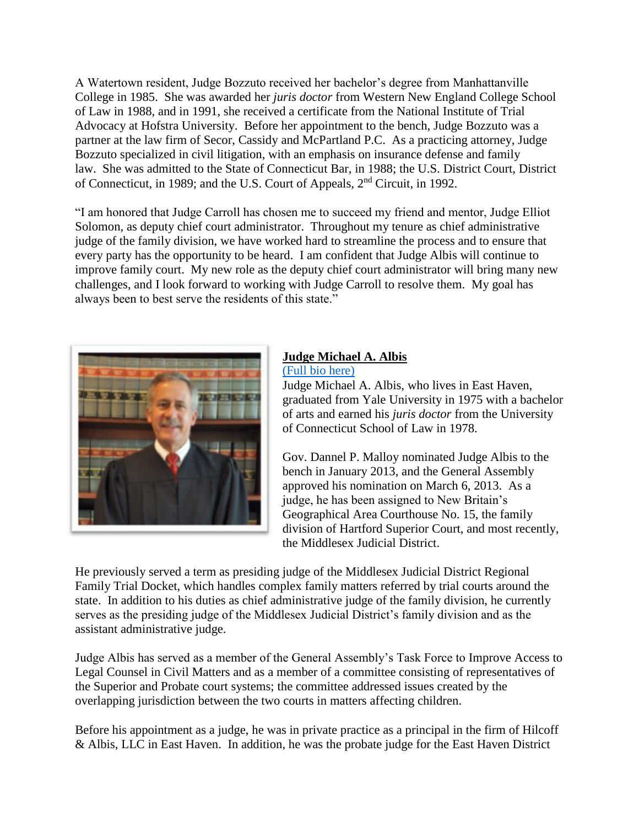A Watertown resident, Judge Bozzuto received her bachelor's degree from Manhattanville College in 1985. She was awarded her *juris doctor* from Western New England College School of Law in 1988, and in 1991, she received a certificate from the National Institute of Trial Advocacy at Hofstra University. Before her appointment to the bench, Judge Bozzuto was a partner at the law firm of Secor, Cassidy and McPartland P.C. As a practicing attorney, Judge Bozzuto specialized in civil litigation, with an emphasis on insurance defense and family law. She was admitted to the State of Connecticut Bar, in 1988; the U.S. District Court, District of Connecticut, in 1989; and the U.S. Court of Appeals, 2nd Circuit, in 1992.

"I am honored that Judge Carroll has chosen me to succeed my friend and mentor, Judge Elliot Solomon, as deputy chief court administrator. Throughout my tenure as chief administrative judge of the family division, we have worked hard to streamline the process and to ensure that every party has the opportunity to be heard. I am confident that Judge Albis will continue to improve family court. My new role as the deputy chief court administrator will bring many new challenges, and I look forward to working with Judge Carroll to resolve them. My goal has always been to best serve the residents of this state."



## **Judge Michael A. Albis** [\(Full bio here\)](https://jud.ct.gov/HomePDFs/Michael_Albis_Bio.pdf)

Judge Michael A. Albis, who lives in East Haven, graduated from Yale University in 1975 with a bachelor of arts and earned his *juris doctor* from the University of Connecticut School of Law in 1978.

Gov. Dannel P. Malloy nominated Judge Albis to the bench in January 2013, and the General Assembly approved his nomination on March 6, 2013. As a judge, he has been assigned to New Britain's Geographical Area Courthouse No. 15, the family division of Hartford Superior Court, and most recently, the Middlesex Judicial District.

He previously served a term as presiding judge of the Middlesex Judicial District Regional Family Trial Docket, which handles complex family matters referred by trial courts around the state. In addition to his duties as chief administrative judge of the family division, he currently serves as the presiding judge of the Middlesex Judicial District's family division and as the assistant administrative judge.

Judge Albis has served as a member of the General Assembly's Task Force to Improve Access to Legal Counsel in Civil Matters and as a member of a committee consisting of representatives of the Superior and Probate court systems; the committee addressed issues created by the overlapping jurisdiction between the two courts in matters affecting children.

Before his appointment as a judge, he was in private practice as a principal in the firm of Hilcoff & Albis, LLC in East Haven. In addition, he was the probate judge for the East Haven District